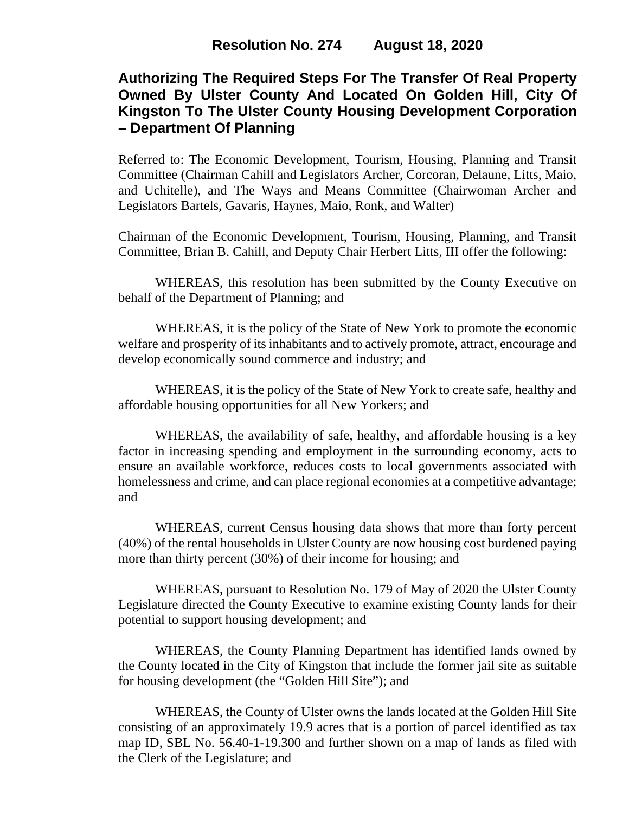# **Authorizing The Required Steps For The Transfer Of Real Property Owned By Ulster County And Located On Golden Hill, City Of Kingston To The Ulster County Housing Development Corporation – Department Of Planning**

Referred to: The Economic Development, Tourism, Housing, Planning and Transit Committee (Chairman Cahill and Legislators Archer, Corcoran, Delaune, Litts, Maio, and Uchitelle), and The Ways and Means Committee (Chairwoman Archer and Legislators Bartels, Gavaris, Haynes, Maio, Ronk, and Walter)

Chairman of the Economic Development, Tourism, Housing, Planning, and Transit Committee, Brian B. Cahill, and Deputy Chair Herbert Litts, III offer the following:

WHEREAS, this resolution has been submitted by the County Executive on behalf of the Department of Planning; and

WHEREAS, it is the policy of the State of New York to promote the economic welfare and prosperity of its inhabitants and to actively promote, attract, encourage and develop economically sound commerce and industry; and

WHEREAS, it is the policy of the State of New York to create safe, healthy and affordable housing opportunities for all New Yorkers; and

WHEREAS, the availability of safe, healthy, and affordable housing is a key factor in increasing spending and employment in the surrounding economy, acts to ensure an available workforce, reduces costs to local governments associated with homelessness and crime, and can place regional economies at a competitive advantage; and

WHEREAS, current Census housing data shows that more than forty percent (40%) of the rental households in Ulster County are now housing cost burdened paying more than thirty percent (30%) of their income for housing; and

WHEREAS, pursuant to Resolution No. 179 of May of 2020 the Ulster County Legislature directed the County Executive to examine existing County lands for their potential to support housing development; and

WHEREAS, the County Planning Department has identified lands owned by the County located in the City of Kingston that include the former jail site as suitable for housing development (the "Golden Hill Site"); and

WHEREAS, the County of Ulster owns the lands located at the Golden Hill Site consisting of an approximately 19.9 acres that is a portion of parcel identified as tax map ID, SBL No. 56.40-1-19.300 and further shown on a map of lands as filed with the Clerk of the Legislature; and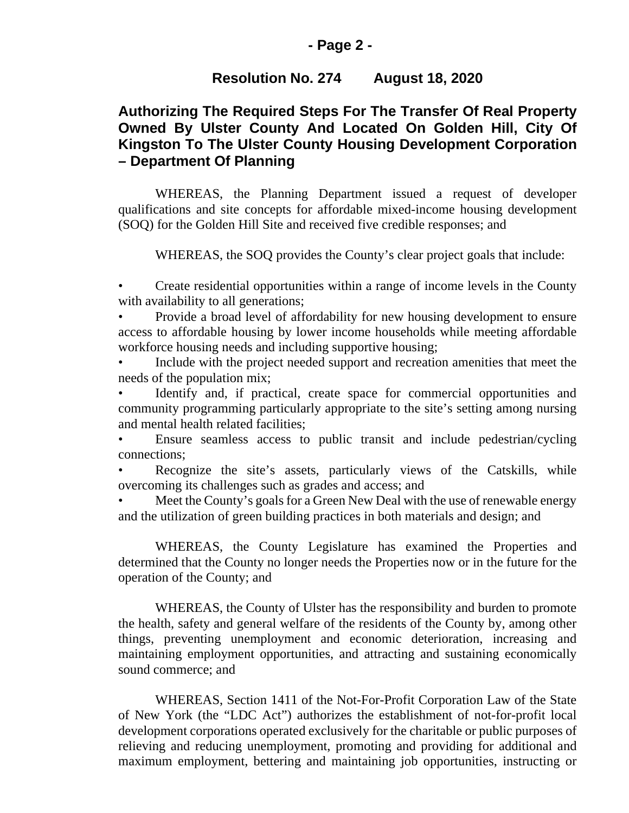### **- Page 2 -**

### **Resolution No. 274 August 18, 2020**

## **Authorizing The Required Steps For The Transfer Of Real Property Owned By Ulster County And Located On Golden Hill, City Of Kingston To The Ulster County Housing Development Corporation – Department Of Planning**

WHEREAS, the Planning Department issued a request of developer qualifications and site concepts for affordable mixed-income housing development (SOQ) for the Golden Hill Site and received five credible responses; and

WHEREAS, the SOQ provides the County's clear project goals that include:

• Create residential opportunities within a range of income levels in the County with availability to all generations;

• Provide a broad level of affordability for new housing development to ensure access to affordable housing by lower income households while meeting affordable workforce housing needs and including supportive housing;

Include with the project needed support and recreation amenities that meet the needs of the population mix;

Identify and, if practical, create space for commercial opportunities and community programming particularly appropriate to the site's setting among nursing and mental health related facilities;

• Ensure seamless access to public transit and include pedestrian/cycling connections;

Recognize the site's assets, particularly views of the Catskills, while overcoming its challenges such as grades and access; and

Meet the County's goals for a Green New Deal with the use of renewable energy and the utilization of green building practices in both materials and design; and

WHEREAS, the County Legislature has examined the Properties and determined that the County no longer needs the Properties now or in the future for the operation of the County; and

WHEREAS, the County of Ulster has the responsibility and burden to promote the health, safety and general welfare of the residents of the County by, among other things, preventing unemployment and economic deterioration, increasing and maintaining employment opportunities, and attracting and sustaining economically sound commerce; and

WHEREAS, Section 1411 of the Not-For-Profit Corporation Law of the State of New York (the "LDC Act") authorizes the establishment of not-for-profit local development corporations operated exclusively for the charitable or public purposes of relieving and reducing unemployment, promoting and providing for additional and maximum employment, bettering and maintaining job opportunities, instructing or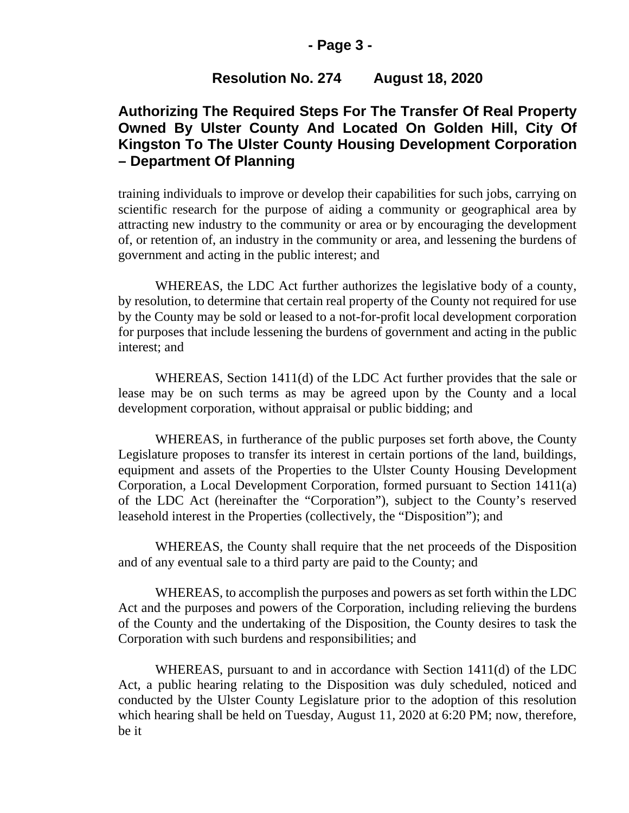### **- Page 3 -**

## **Resolution No. 274 August 18, 2020**

# **Authorizing The Required Steps For The Transfer Of Real Property Owned By Ulster County And Located On Golden Hill, City Of Kingston To The Ulster County Housing Development Corporation – Department Of Planning**

training individuals to improve or develop their capabilities for such jobs, carrying on scientific research for the purpose of aiding a community or geographical area by attracting new industry to the community or area or by encouraging the development of, or retention of, an industry in the community or area, and lessening the burdens of government and acting in the public interest; and

WHEREAS, the LDC Act further authorizes the legislative body of a county, by resolution, to determine that certain real property of the County not required for use by the County may be sold or leased to a not-for-profit local development corporation for purposes that include lessening the burdens of government and acting in the public interest; and

WHEREAS, Section 1411(d) of the LDC Act further provides that the sale or lease may be on such terms as may be agreed upon by the County and a local development corporation, without appraisal or public bidding; and

WHEREAS, in furtherance of the public purposes set forth above, the County Legislature proposes to transfer its interest in certain portions of the land, buildings, equipment and assets of the Properties to the Ulster County Housing Development Corporation, a Local Development Corporation, formed pursuant to Section 1411(a) of the LDC Act (hereinafter the "Corporation"), subject to the County's reserved leasehold interest in the Properties (collectively, the "Disposition"); and

WHEREAS, the County shall require that the net proceeds of the Disposition and of any eventual sale to a third party are paid to the County; and

WHEREAS, to accomplish the purposes and powers as set forth within the LDC Act and the purposes and powers of the Corporation, including relieving the burdens of the County and the undertaking of the Disposition, the County desires to task the Corporation with such burdens and responsibilities; and

WHEREAS, pursuant to and in accordance with Section 1411(d) of the LDC Act, a public hearing relating to the Disposition was duly scheduled, noticed and conducted by the Ulster County Legislature prior to the adoption of this resolution which hearing shall be held on Tuesday, August 11, 2020 at 6:20 PM; now, therefore, be it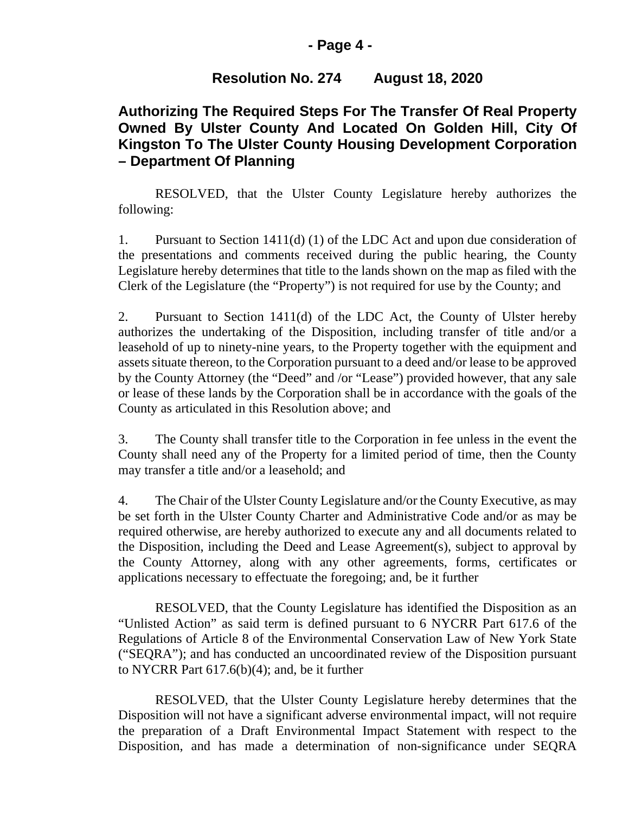### **- Page 4 -**

## **Resolution No. 274 August 18, 2020**

# **Authorizing The Required Steps For The Transfer Of Real Property Owned By Ulster County And Located On Golden Hill, City Of Kingston To The Ulster County Housing Development Corporation – Department Of Planning**

RESOLVED, that the Ulster County Legislature hereby authorizes the following:

1. Pursuant to Section 1411(d) (1) of the LDC Act and upon due consideration of the presentations and comments received during the public hearing, the County Legislature hereby determines that title to the lands shown on the map as filed with the Clerk of the Legislature (the "Property") is not required for use by the County; and

2. Pursuant to Section 1411(d) of the LDC Act, the County of Ulster hereby authorizes the undertaking of the Disposition, including transfer of title and/or a leasehold of up to ninety-nine years, to the Property together with the equipment and assets situate thereon, to the Corporation pursuant to a deed and/or lease to be approved by the County Attorney (the "Deed" and /or "Lease") provided however, that any sale or lease of these lands by the Corporation shall be in accordance with the goals of the County as articulated in this Resolution above; and

3. The County shall transfer title to the Corporation in fee unless in the event the County shall need any of the Property for a limited period of time, then the County may transfer a title and/or a leasehold; and

4. The Chair of the Ulster County Legislature and/or the County Executive, as may be set forth in the Ulster County Charter and Administrative Code and/or as may be required otherwise, are hereby authorized to execute any and all documents related to the Disposition, including the Deed and Lease Agreement(s), subject to approval by the County Attorney, along with any other agreements, forms, certificates or applications necessary to effectuate the foregoing; and, be it further

RESOLVED, that the County Legislature has identified the Disposition as an "Unlisted Action" as said term is defined pursuant to 6 NYCRR Part 617.6 of the Regulations of Article 8 of the Environmental Conservation Law of New York State ("SEQRA"); and has conducted an uncoordinated review of the Disposition pursuant to NYCRR Part 617.6(b)(4); and, be it further

RESOLVED, that the Ulster County Legislature hereby determines that the Disposition will not have a significant adverse environmental impact, will not require the preparation of a Draft Environmental Impact Statement with respect to the Disposition, and has made a determination of non-significance under SEQRA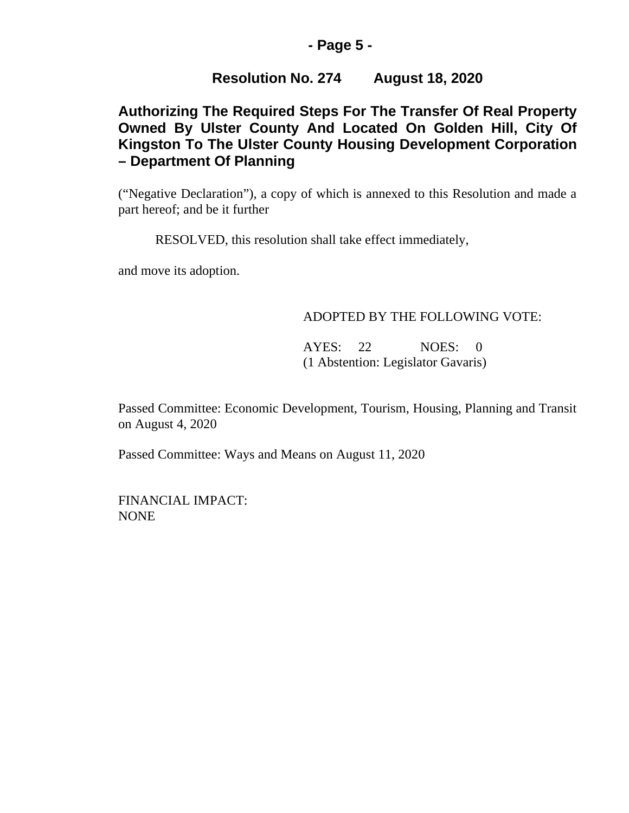## **- Page 5 -**

## **Resolution No. 274 August 18, 2020**

# **Authorizing The Required Steps For The Transfer Of Real Property Owned By Ulster County And Located On Golden Hill, City Of Kingston To The Ulster County Housing Development Corporation – Department Of Planning**

("Negative Declaration"), a copy of which is annexed to this Resolution and made a part hereof; and be it further

RESOLVED, this resolution shall take effect immediately,

and move its adoption.

### ADOPTED BY THE FOLLOWING VOTE:

AYES: 22 NOES: 0 (1 Abstention: Legislator Gavaris)

Passed Committee: Economic Development, Tourism, Housing, Planning and Transit on August 4, 2020

Passed Committee: Ways and Means on August 11, 2020

FINANCIAL IMPACT: NONE